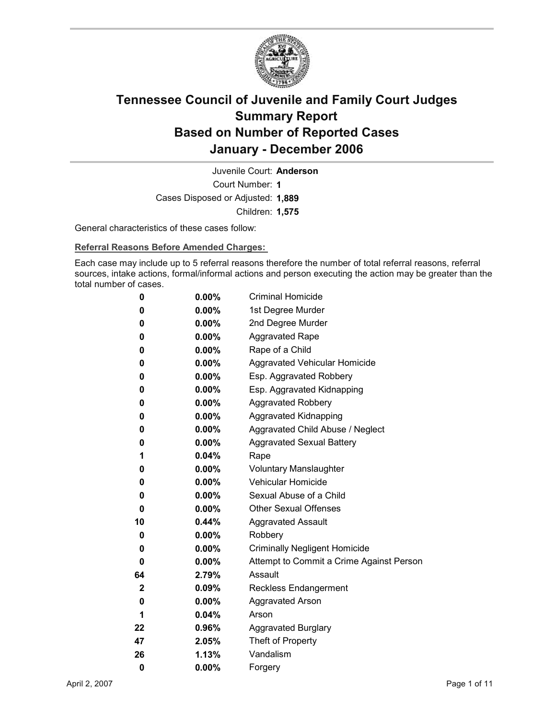

Court Number: **1** Juvenile Court: **Anderson** Cases Disposed or Adjusted: **1,889** Children: **1,575**

General characteristics of these cases follow:

**Referral Reasons Before Amended Charges:** 

Each case may include up to 5 referral reasons therefore the number of total referral reasons, referral sources, intake actions, formal/informal actions and person executing the action may be greater than the total number of cases.

| 0            | $0.00\%$ | <b>Criminal Homicide</b>                 |
|--------------|----------|------------------------------------------|
| 0            | $0.00\%$ | 1st Degree Murder                        |
| 0            | $0.00\%$ | 2nd Degree Murder                        |
| 0            | $0.00\%$ | <b>Aggravated Rape</b>                   |
| 0            | $0.00\%$ | Rape of a Child                          |
| 0            | $0.00\%$ | Aggravated Vehicular Homicide            |
| 0            | $0.00\%$ | Esp. Aggravated Robbery                  |
| 0            | $0.00\%$ | Esp. Aggravated Kidnapping               |
| 0            | $0.00\%$ | <b>Aggravated Robbery</b>                |
| 0            | $0.00\%$ | <b>Aggravated Kidnapping</b>             |
| 0            | $0.00\%$ | Aggravated Child Abuse / Neglect         |
| 0            | $0.00\%$ | <b>Aggravated Sexual Battery</b>         |
| 1            | 0.04%    | Rape                                     |
| 0            | $0.00\%$ | <b>Voluntary Manslaughter</b>            |
| 0            | $0.00\%$ | <b>Vehicular Homicide</b>                |
| 0            | $0.00\%$ | Sexual Abuse of a Child                  |
| 0            | $0.00\%$ | <b>Other Sexual Offenses</b>             |
| 10           | $0.44\%$ | <b>Aggravated Assault</b>                |
| 0            | $0.00\%$ | Robbery                                  |
| 0            | $0.00\%$ | <b>Criminally Negligent Homicide</b>     |
| 0            | $0.00\%$ | Attempt to Commit a Crime Against Person |
| 64           | 2.79%    | Assault                                  |
| $\mathbf{2}$ | $0.09\%$ | <b>Reckless Endangerment</b>             |
| 0            | $0.00\%$ | <b>Aggravated Arson</b>                  |
| 1            | 0.04%    | Arson                                    |
| 22           | $0.96\%$ | <b>Aggravated Burglary</b>               |
| 47           | $2.05\%$ | Theft of Property                        |
| 26           | 1.13%    | Vandalism                                |
| 0            | 0.00%    | Forgery                                  |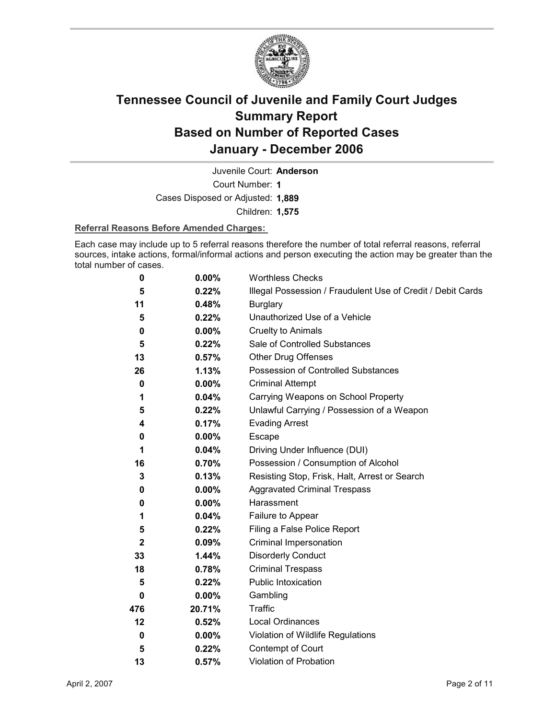

Juvenile Court: **Anderson**

Court Number: **1**

Cases Disposed or Adjusted: **1,889**

Children: **1,575**

#### **Referral Reasons Before Amended Charges:**

Each case may include up to 5 referral reasons therefore the number of total referral reasons, referral sources, intake actions, formal/informal actions and person executing the action may be greater than the total number of cases.

| 0            | 0.00%    | <b>Worthless Checks</b>                                     |
|--------------|----------|-------------------------------------------------------------|
| 5            | 0.22%    | Illegal Possession / Fraudulent Use of Credit / Debit Cards |
| 11           | 0.48%    | <b>Burglary</b>                                             |
| 5            | 0.22%    | Unauthorized Use of a Vehicle                               |
| 0            | $0.00\%$ | <b>Cruelty to Animals</b>                                   |
| 5            | $0.22\%$ | Sale of Controlled Substances                               |
| 13           | 0.57%    | <b>Other Drug Offenses</b>                                  |
| 26           | 1.13%    | Possession of Controlled Substances                         |
| 0            | 0.00%    | <b>Criminal Attempt</b>                                     |
| 1            | 0.04%    | Carrying Weapons on School Property                         |
| 5            | 0.22%    | Unlawful Carrying / Possession of a Weapon                  |
| 4            | 0.17%    | <b>Evading Arrest</b>                                       |
| 0            | $0.00\%$ | Escape                                                      |
| 1            | 0.04%    | Driving Under Influence (DUI)                               |
| 16           | 0.70%    | Possession / Consumption of Alcohol                         |
| 3            | 0.13%    | Resisting Stop, Frisk, Halt, Arrest or Search               |
| 0            | $0.00\%$ | <b>Aggravated Criminal Trespass</b>                         |
| 0            | $0.00\%$ | Harassment                                                  |
| 1            | 0.04%    | Failure to Appear                                           |
| 5            | 0.22%    | Filing a False Police Report                                |
| $\mathbf{2}$ | $0.09\%$ | Criminal Impersonation                                      |
| 33           | 1.44%    | <b>Disorderly Conduct</b>                                   |
| 18           | 0.78%    | <b>Criminal Trespass</b>                                    |
| 5            | 0.22%    | <b>Public Intoxication</b>                                  |
| 0            | $0.00\%$ | Gambling                                                    |
| 476          | 20.71%   | Traffic                                                     |
| 12           | 0.52%    | <b>Local Ordinances</b>                                     |
| 0            | $0.00\%$ | Violation of Wildlife Regulations                           |
| 5            | 0.22%    | Contempt of Court                                           |
| 13           | 0.57%    | Violation of Probation                                      |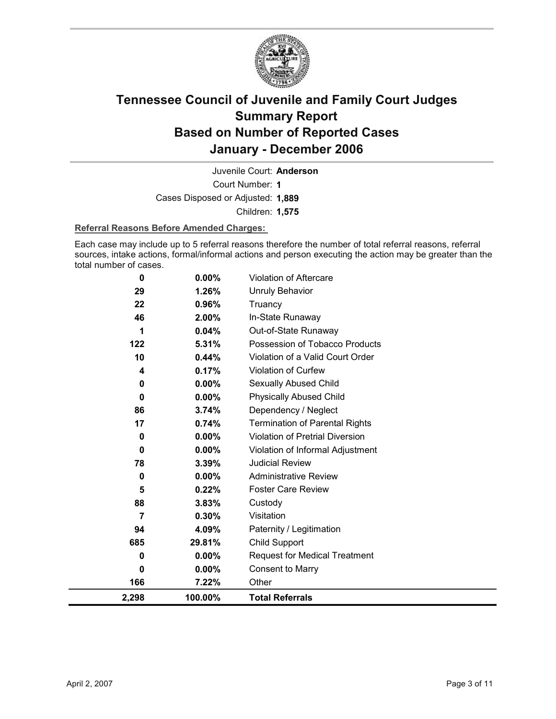

Court Number: **1** Juvenile Court: **Anderson**

Cases Disposed or Adjusted: **1,889**

Children: **1,575**

#### **Referral Reasons Before Amended Charges:**

Each case may include up to 5 referral reasons therefore the number of total referral reasons, referral sources, intake actions, formal/informal actions and person executing the action may be greater than the total number of cases.

| 0        | 0.00%    | Violation of Aftercare                 |
|----------|----------|----------------------------------------|
| 29       | 1.26%    | <b>Unruly Behavior</b>                 |
| 22       | 0.96%    | Truancy                                |
| 46       | 2.00%    | In-State Runaway                       |
| 1        | 0.04%    | Out-of-State Runaway                   |
| 122      | 5.31%    | Possession of Tobacco Products         |
| 10       | 0.44%    | Violation of a Valid Court Order       |
| 4        | 0.17%    | Violation of Curfew                    |
| 0        | 0.00%    | Sexually Abused Child                  |
| $\bf{0}$ | $0.00\%$ | <b>Physically Abused Child</b>         |
| 86       | 3.74%    | Dependency / Neglect                   |
| 17       | 0.74%    | <b>Termination of Parental Rights</b>  |
| 0        | 0.00%    | <b>Violation of Pretrial Diversion</b> |
| $\bf{0}$ | 0.00%    | Violation of Informal Adjustment       |
| 78       | 3.39%    | <b>Judicial Review</b>                 |
| $\bf{0}$ | 0.00%    | <b>Administrative Review</b>           |
| 5        | 0.22%    | <b>Foster Care Review</b>              |
| 88       | 3.83%    | Custody                                |
| 7        | 0.30%    | Visitation                             |
| 94       | 4.09%    | Paternity / Legitimation               |
| 685      | 29.81%   | Child Support                          |
| 0        | $0.00\%$ | <b>Request for Medical Treatment</b>   |
| 0        | $0.00\%$ | <b>Consent to Marry</b>                |
| 166      | 7.22%    | Other                                  |
| 2,298    | 100.00%  | <b>Total Referrals</b>                 |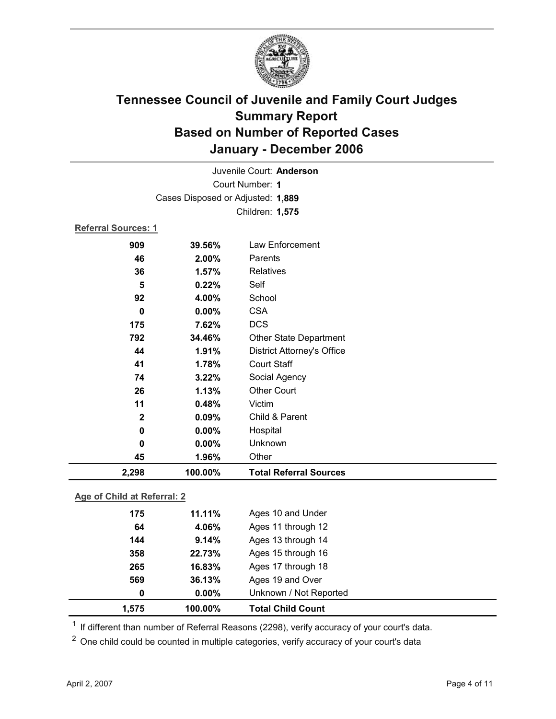

| Juvenile Court: Anderson |                                   |                                   |  |  |  |
|--------------------------|-----------------------------------|-----------------------------------|--|--|--|
|                          | Court Number: 1                   |                                   |  |  |  |
|                          | Cases Disposed or Adjusted: 1,889 |                                   |  |  |  |
|                          |                                   | Children: 1,575                   |  |  |  |
|                          | Referral Sources: 1               |                                   |  |  |  |
| 909                      | 39.56%                            | Law Enforcement                   |  |  |  |
| 46                       | 2.00%                             | Parents                           |  |  |  |
| 36                       | 1.57%                             | <b>Relatives</b>                  |  |  |  |
| 5                        | 0.22%                             | Self                              |  |  |  |
| 92                       | 4.00%                             | School                            |  |  |  |
| $\bf{0}$                 | 0.00%                             | <b>CSA</b>                        |  |  |  |
| 175                      | 7.62%                             | <b>DCS</b>                        |  |  |  |
| 792                      | 34.46%                            | <b>Other State Department</b>     |  |  |  |
| 44                       | 1.91%                             | <b>District Attorney's Office</b> |  |  |  |
| 41                       | 1.78%                             | <b>Court Staff</b>                |  |  |  |
| 74                       | 3.22%                             | Social Agency                     |  |  |  |
| 26                       | 1.13%                             | <b>Other Court</b>                |  |  |  |
| 11                       | 0.48%                             | Victim                            |  |  |  |
| $\mathbf{2}$             | 0.09%                             | Child & Parent                    |  |  |  |
| 0                        | 0.00%                             | Hospital                          |  |  |  |
| 0                        | 0.00%                             | Unknown                           |  |  |  |
| 45                       | 1.96%                             | Other                             |  |  |  |
| 2,298                    | 100.00%                           | <b>Total Referral Sources</b>     |  |  |  |

### **Age of Child at Referral: 2**

| 1,575 | 100.00%  | <b>Total Child Count</b> |  |
|-------|----------|--------------------------|--|
| 0     | $0.00\%$ | Unknown / Not Reported   |  |
| 569   | 36.13%   | Ages 19 and Over         |  |
| 265   | 16.83%   | Ages 17 through 18       |  |
| 358   | 22.73%   | Ages 15 through 16       |  |
| 144   | 9.14%    | Ages 13 through 14       |  |
| 64    | 4.06%    | Ages 11 through 12       |  |
| 175   | 11.11%   | Ages 10 and Under        |  |
|       |          |                          |  |

 $1$  If different than number of Referral Reasons (2298), verify accuracy of your court's data.

<sup>2</sup> One child could be counted in multiple categories, verify accuracy of your court's data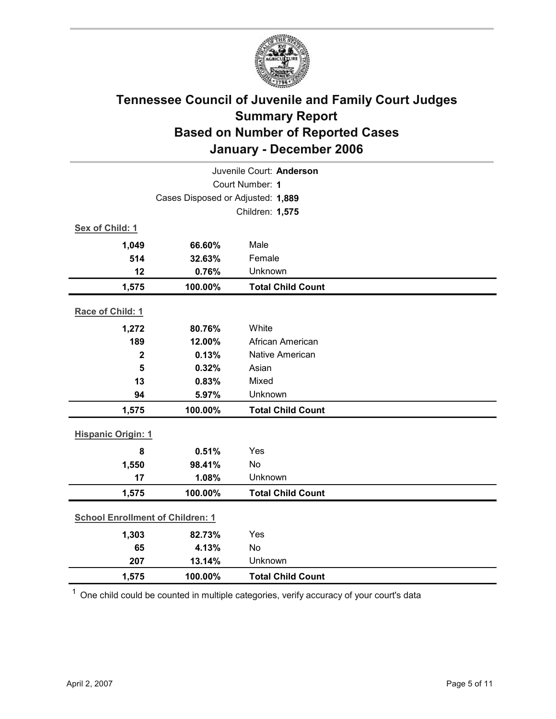

| Juvenile Court: Anderson                |                                   |                          |  |  |  |
|-----------------------------------------|-----------------------------------|--------------------------|--|--|--|
| Court Number: 1                         |                                   |                          |  |  |  |
|                                         | Cases Disposed or Adjusted: 1,889 |                          |  |  |  |
|                                         |                                   | Children: 1,575          |  |  |  |
| Sex of Child: 1                         |                                   |                          |  |  |  |
| 1,049                                   | 66.60%                            | Male                     |  |  |  |
| 514                                     | 32.63%                            | Female                   |  |  |  |
| 12                                      | 0.76%                             | Unknown                  |  |  |  |
| 1,575                                   | 100.00%                           | <b>Total Child Count</b> |  |  |  |
| Race of Child: 1                        |                                   |                          |  |  |  |
| 1,272                                   | 80.76%                            | White                    |  |  |  |
| 189                                     | 12.00%                            | African American         |  |  |  |
| $\mathbf 2$                             | 0.13%                             | Native American          |  |  |  |
| 5                                       | 0.32%                             | Asian                    |  |  |  |
| 13                                      | 0.83%                             | Mixed                    |  |  |  |
| 94                                      | 5.97%                             | Unknown                  |  |  |  |
| 1,575                                   | 100.00%                           | <b>Total Child Count</b> |  |  |  |
| <b>Hispanic Origin: 1</b>               |                                   |                          |  |  |  |
| 8                                       | 0.51%                             | Yes                      |  |  |  |
| 1,550                                   | 98.41%                            | <b>No</b>                |  |  |  |
| 17                                      | 1.08%                             | Unknown                  |  |  |  |
| 1,575                                   | 100.00%                           | <b>Total Child Count</b> |  |  |  |
| <b>School Enrollment of Children: 1</b> |                                   |                          |  |  |  |
| 1,303                                   | 82.73%                            | Yes                      |  |  |  |
| 65                                      | 4.13%                             | No                       |  |  |  |
| 207                                     | 13.14%                            | Unknown                  |  |  |  |
| 1,575                                   | 100.00%                           | <b>Total Child Count</b> |  |  |  |

 $1$  One child could be counted in multiple categories, verify accuracy of your court's data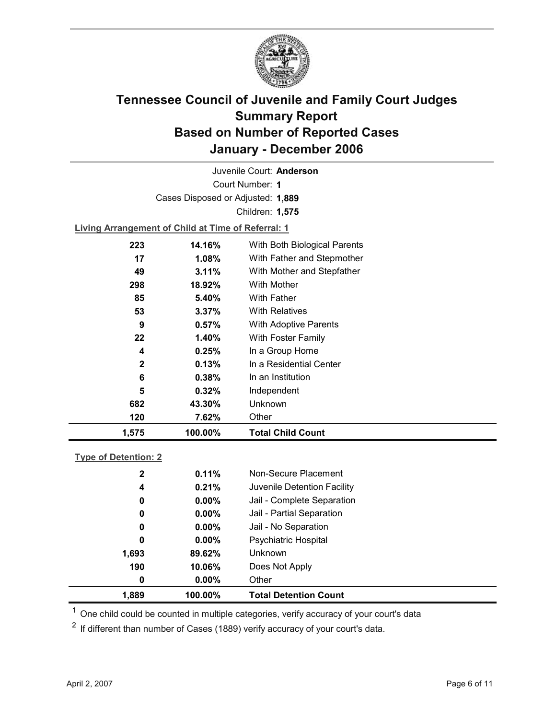

Court Number: **1** Juvenile Court: **Anderson** Cases Disposed or Adjusted: **1,889** Children: **1,575**

**Living Arrangement of Child at Time of Referral: 1**

| 1,575        | 100.00%  | <b>Total Child Count</b>     |  |
|--------------|----------|------------------------------|--|
| 120          | 7.62%    | Other                        |  |
| 682          | 43.30%   | Unknown                      |  |
| 5            | 0.32%    | Independent                  |  |
| 6            | $0.38\%$ | In an Institution            |  |
| $\mathbf{2}$ | 0.13%    | In a Residential Center      |  |
| 4            | 0.25%    | In a Group Home              |  |
| 22           | 1.40%    | With Foster Family           |  |
| 9            | 0.57%    | With Adoptive Parents        |  |
| 53           | $3.37\%$ | <b>With Relatives</b>        |  |
| 85           | 5.40%    | <b>With Father</b>           |  |
| 298          | 18.92%   | With Mother                  |  |
| 49           | 3.11%    | With Mother and Stepfather   |  |
| 17           | 1.08%    | With Father and Stepmother   |  |
| 223          | 14.16%   | With Both Biological Parents |  |
|              |          |                              |  |

#### **Type of Detention: 2**

| 1,889        | 100.00%  | <b>Total Detention Count</b> |  |
|--------------|----------|------------------------------|--|
| 0            | $0.00\%$ | Other                        |  |
| 190          | 10.06%   | Does Not Apply               |  |
| 1,693        | 89.62%   | <b>Unknown</b>               |  |
| 0            | $0.00\%$ | <b>Psychiatric Hospital</b>  |  |
| 0            | $0.00\%$ | Jail - No Separation         |  |
| 0            | $0.00\%$ | Jail - Partial Separation    |  |
| 0            | $0.00\%$ | Jail - Complete Separation   |  |
| 4            | 0.21%    | Juvenile Detention Facility  |  |
| $\mathbf{2}$ | 0.11%    | Non-Secure Placement         |  |
|              |          |                              |  |

 $<sup>1</sup>$  One child could be counted in multiple categories, verify accuracy of your court's data</sup>

 $2$  If different than number of Cases (1889) verify accuracy of your court's data.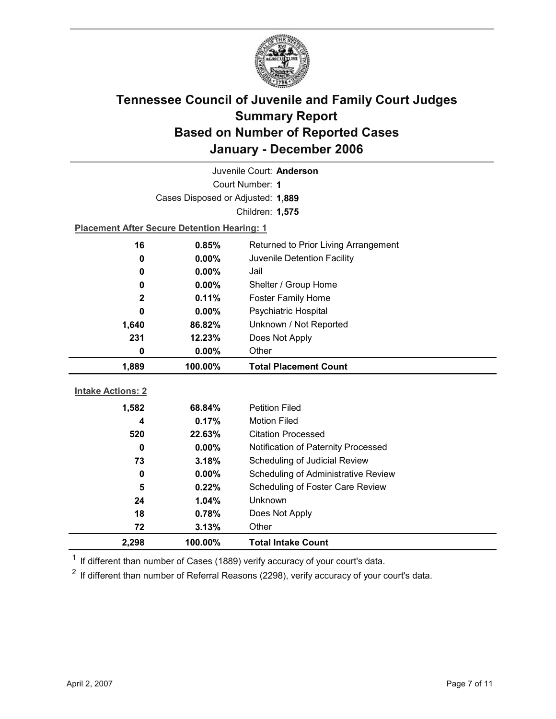

|                          | Juvenile Court: Anderson                           |                                      |  |  |
|--------------------------|----------------------------------------------------|--------------------------------------|--|--|
| Court Number: 1          |                                                    |                                      |  |  |
|                          | Cases Disposed or Adjusted: 1,889                  |                                      |  |  |
|                          |                                                    | Children: 1,575                      |  |  |
|                          | <b>Placement After Secure Detention Hearing: 1</b> |                                      |  |  |
| 16                       | 0.85%                                              | Returned to Prior Living Arrangement |  |  |
| 0                        | $0.00\%$                                           | Juvenile Detention Facility          |  |  |
| 0                        | 0.00%                                              | Jail                                 |  |  |
| 0                        | 0.00%                                              | Shelter / Group Home                 |  |  |
| $\overline{2}$           | 0.11%                                              | Foster Family Home                   |  |  |
| 0                        | $0.00\%$                                           | <b>Psychiatric Hospital</b>          |  |  |
| 1,640                    | 86.82%                                             | Unknown / Not Reported               |  |  |
| 231                      | 12.23%                                             | Does Not Apply                       |  |  |
| 0                        | 0.00%                                              | Other                                |  |  |
|                          |                                                    |                                      |  |  |
| 1,889                    | 100.00%                                            | <b>Total Placement Count</b>         |  |  |
|                          |                                                    |                                      |  |  |
| <b>Intake Actions: 2</b> |                                                    |                                      |  |  |
| 1,582                    | 68.84%                                             | <b>Petition Filed</b>                |  |  |
| 4                        | 0.17%                                              | <b>Motion Filed</b>                  |  |  |
| 520                      | 22.63%                                             | <b>Citation Processed</b>            |  |  |
| $\bf{0}$                 | $0.00\%$                                           | Notification of Paternity Processed  |  |  |
| 73                       | 3.18%                                              | Scheduling of Judicial Review        |  |  |
| 0                        | 0.00%                                              | Scheduling of Administrative Review  |  |  |
| 5                        | 0.22%                                              | Scheduling of Foster Care Review     |  |  |
| 24                       | 1.04%                                              | Unknown                              |  |  |
| 18                       | 0.78%                                              | Does Not Apply                       |  |  |
| 72<br>2,298              | 3.13%<br>100.00%                                   | Other<br><b>Total Intake Count</b>   |  |  |

 $1$  If different than number of Cases (1889) verify accuracy of your court's data.

 $2$  If different than number of Referral Reasons (2298), verify accuracy of your court's data.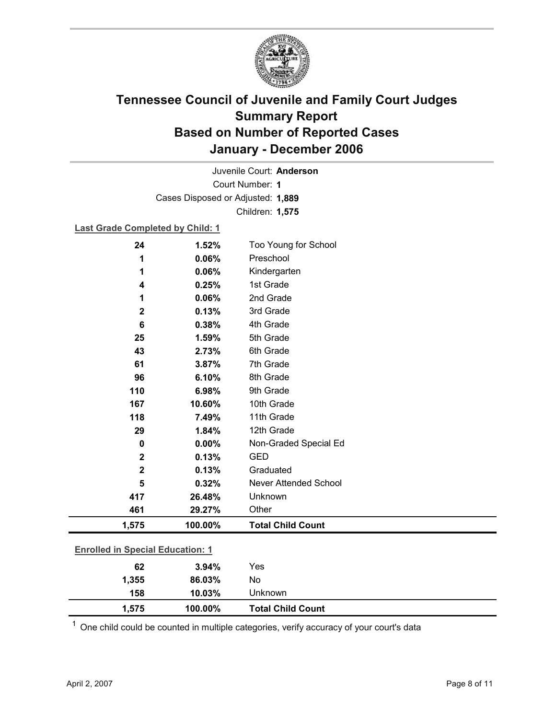

Court Number: **1** Juvenile Court: **Anderson** Cases Disposed or Adjusted: **1,889** Children: **1,575**

#### **Last Grade Completed by Child: 1**

| 24                                      | 1.52%   | Too Young for School         |
|-----------------------------------------|---------|------------------------------|
| 1                                       | 0.06%   | Preschool                    |
| 1                                       | 0.06%   | Kindergarten                 |
| 4                                       | 0.25%   | 1st Grade                    |
| 1                                       | 0.06%   | 2nd Grade                    |
| $\mathbf 2$                             | 0.13%   | 3rd Grade                    |
| 6                                       | 0.38%   | 4th Grade                    |
| 25                                      | 1.59%   | 5th Grade                    |
| 43                                      | 2.73%   | 6th Grade                    |
| 61                                      | 3.87%   | 7th Grade                    |
| 96                                      | 6.10%   | 8th Grade                    |
| 110                                     | 6.98%   | 9th Grade                    |
| 167                                     | 10.60%  | 10th Grade                   |
| 118                                     | 7.49%   | 11th Grade                   |
| 29                                      | 1.84%   | 12th Grade                   |
| 0                                       | 0.00%   | Non-Graded Special Ed        |
| $\mathbf 2$                             | 0.13%   | <b>GED</b>                   |
| $\mathbf 2$                             | 0.13%   | Graduated                    |
| 5                                       | 0.32%   | <b>Never Attended School</b> |
| 417                                     | 26.48%  | Unknown                      |
| 461                                     | 29.27%  | Other                        |
| 1,575                                   | 100.00% | <b>Total Child Count</b>     |
| <b>Enrolled in Special Education: 1</b> |         |                              |
| 62                                      | 3.94%   | Yes                          |
| 1,355                                   | 86.03%  | No                           |

 $1$  One child could be counted in multiple categories, verify accuracy of your court's data

**158 10.03%** Unknown

**1,575 100.00% Total Child Count**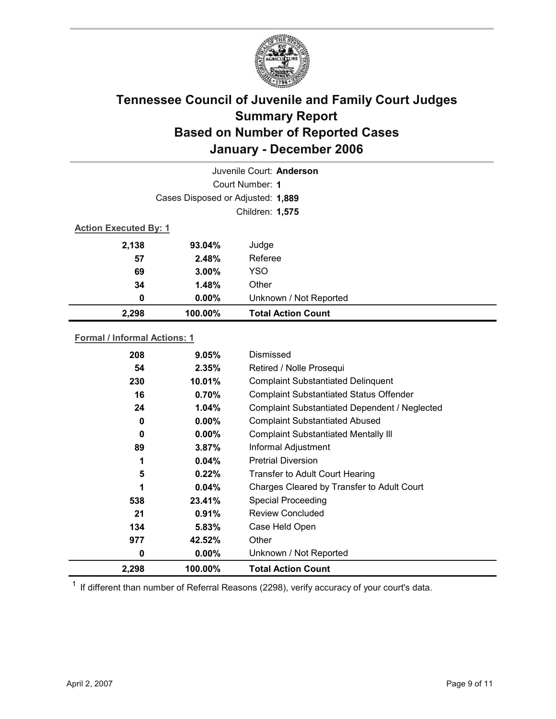

|       |                                   | Juvenile Court: Anderson  |  |  |
|-------|-----------------------------------|---------------------------|--|--|
|       | Court Number: 1                   |                           |  |  |
|       | Cases Disposed or Adjusted: 1,889 |                           |  |  |
|       | Children: 1,575                   |                           |  |  |
|       | <b>Action Executed By: 1</b>      |                           |  |  |
| 2,138 | 93.04%                            | Judge                     |  |  |
| 57    | 2.48%                             | Referee                   |  |  |
| 69    | 3.00%                             | <b>YSO</b>                |  |  |
| 34    | 1.48%                             | Other                     |  |  |
| 0     | $0.00\%$                          | Unknown / Not Reported    |  |  |
| 2,298 | 100.00%                           | <b>Total Action Count</b> |  |  |

#### **Formal / Informal Actions: 1**

| 2,298 | 100.00%  | <b>Total Action Count</b>                      |
|-------|----------|------------------------------------------------|
| 0     | $0.00\%$ | Unknown / Not Reported                         |
| 977   | 42.52%   | Other                                          |
| 134   | 5.83%    | Case Held Open                                 |
| 21    | $0.91\%$ | Review Concluded                               |
| 538   | 23.41%   | <b>Special Proceeding</b>                      |
| 1     | 0.04%    | Charges Cleared by Transfer to Adult Court     |
| 5     | 0.22%    | <b>Transfer to Adult Court Hearing</b>         |
| 1     | $0.04\%$ | <b>Pretrial Diversion</b>                      |
| 89    | $3.87\%$ | Informal Adjustment                            |
| 0     | $0.00\%$ | <b>Complaint Substantiated Mentally III</b>    |
| 0     | $0.00\%$ | <b>Complaint Substantiated Abused</b>          |
| 24    | 1.04%    | Complaint Substantiated Dependent / Neglected  |
| 16    | 0.70%    | <b>Complaint Substantiated Status Offender</b> |
| 230   | 10.01%   | <b>Complaint Substantiated Delinquent</b>      |
| 54    | 2.35%    | Retired / Nolle Prosequi                       |
| 208   | 9.05%    | Dismissed                                      |
|       |          |                                                |

 $1$  If different than number of Referral Reasons (2298), verify accuracy of your court's data.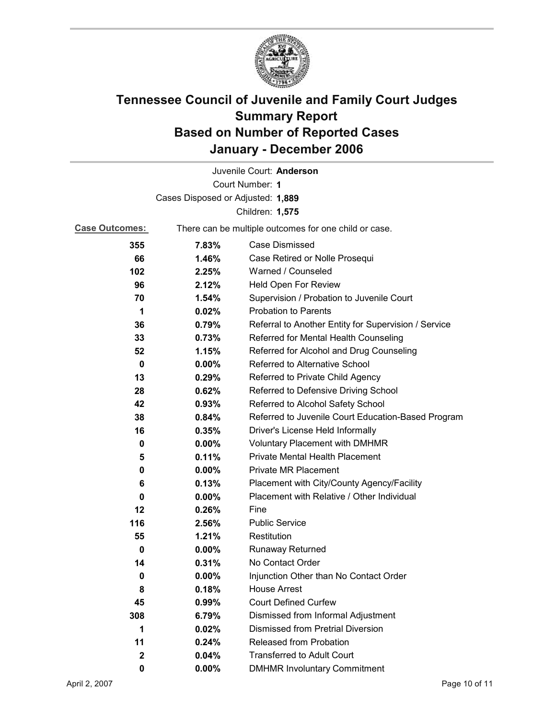

| Juvenile Court: Anderson          |                                                       |                                                      |  |
|-----------------------------------|-------------------------------------------------------|------------------------------------------------------|--|
| Court Number: 1                   |                                                       |                                                      |  |
| Cases Disposed or Adjusted: 1,889 |                                                       |                                                      |  |
|                                   |                                                       | Children: 1,575                                      |  |
| <b>Case Outcomes:</b>             | There can be multiple outcomes for one child or case. |                                                      |  |
| 355                               | 7.83%                                                 | <b>Case Dismissed</b>                                |  |
| 66                                | 1.46%                                                 | Case Retired or Nolle Prosequi                       |  |
| 102                               | 2.25%                                                 | Warned / Counseled                                   |  |
| 96                                | 2.12%                                                 | Held Open For Review                                 |  |
| 70                                | 1.54%                                                 | Supervision / Probation to Juvenile Court            |  |
| 1                                 | 0.02%                                                 | <b>Probation to Parents</b>                          |  |
| 36                                | 0.79%                                                 | Referral to Another Entity for Supervision / Service |  |
| 33                                | 0.73%                                                 | Referred for Mental Health Counseling                |  |
| 52                                | 1.15%                                                 | Referred for Alcohol and Drug Counseling             |  |
| 0                                 | $0.00\%$                                              | Referred to Alternative School                       |  |
| 13                                | 0.29%                                                 | Referred to Private Child Agency                     |  |
| 28                                | 0.62%                                                 | Referred to Defensive Driving School                 |  |
| 42                                | 0.93%                                                 | Referred to Alcohol Safety School                    |  |
| 38                                | 0.84%                                                 | Referred to Juvenile Court Education-Based Program   |  |
| 16                                | 0.35%                                                 | Driver's License Held Informally                     |  |
| 0                                 | $0.00\%$                                              | <b>Voluntary Placement with DMHMR</b>                |  |
| 5                                 | 0.11%                                                 | <b>Private Mental Health Placement</b>               |  |
| 0                                 | $0.00\%$                                              | <b>Private MR Placement</b>                          |  |
| 6                                 | 0.13%                                                 | Placement with City/County Agency/Facility           |  |
| 0                                 | $0.00\%$                                              | Placement with Relative / Other Individual           |  |
| 12                                | 0.26%                                                 | Fine                                                 |  |
| 116                               | 2.56%                                                 | <b>Public Service</b>                                |  |
| 55                                | 1.21%                                                 | Restitution                                          |  |
| 0                                 | 0.00%                                                 | Runaway Returned                                     |  |
| 14                                | 0.31%                                                 | No Contact Order                                     |  |
| 0                                 | 0.00%                                                 | Injunction Other than No Contact Order               |  |
| 8                                 | 0.18%                                                 | <b>House Arrest</b>                                  |  |
| 45                                | 0.99%                                                 | <b>Court Defined Curfew</b>                          |  |
| 308                               | 6.79%                                                 | Dismissed from Informal Adjustment                   |  |
| 1                                 | 0.02%                                                 | <b>Dismissed from Pretrial Diversion</b>             |  |
| 11                                | 0.24%                                                 | Released from Probation                              |  |
| 2                                 | 0.04%                                                 | <b>Transferred to Adult Court</b>                    |  |
| 0                                 | $0.00\%$                                              | <b>DMHMR Involuntary Commitment</b>                  |  |